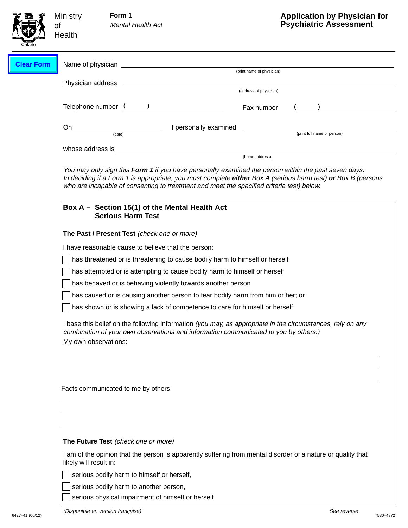| Ontario           | <b>Ministry</b><br>of<br>Health                             | Form 1<br><b>Mental Health Act</b>                                                                                                                                                                                                                                                                                | <b>Application by Physician for</b><br><b>Psychiatric Assessment</b>                                       |  |  |
|-------------------|-------------------------------------------------------------|-------------------------------------------------------------------------------------------------------------------------------------------------------------------------------------------------------------------------------------------------------------------------------------------------------------------|------------------------------------------------------------------------------------------------------------|--|--|
| <b>Clear Form</b> |                                                             |                                                                                                                                                                                                                                                                                                                   | (print name of physician)                                                                                  |  |  |
|                   |                                                             | (address of physician)                                                                                                                                                                                                                                                                                            |                                                                                                            |  |  |
|                   |                                                             | Telephone number ( )                                                                                                                                                                                                                                                                                              | Fax number                                                                                                 |  |  |
|                   | $On$ <sub>—</sub>                                           |                                                                                                                                                                                                                                                                                                                   | I personally examined _____________<br>(print full name of person)                                         |  |  |
|                   |                                                             |                                                                                                                                                                                                                                                                                                                   | (home address)                                                                                             |  |  |
|                   |                                                             | You may only sign this Form 1 if you have personally examined the person within the past seven days.<br>In deciding if a Form 1 is appropriate, you must complete either Box A (serious harm test) or Box B (persons<br>who are incapable of consenting to treatment and meet the specified criteria test) below. |                                                                                                            |  |  |
|                   |                                                             | Box A – Section 15(1) of the Mental Health Act<br><b>Serious Harm Test</b>                                                                                                                                                                                                                                        |                                                                                                            |  |  |
|                   | The Past / Present Test (check one or more)                 |                                                                                                                                                                                                                                                                                                                   |                                                                                                            |  |  |
|                   |                                                             | I have reasonable cause to believe that the person:                                                                                                                                                                                                                                                               |                                                                                                            |  |  |
|                   |                                                             | has threatened or is threatening to cause bodily harm to himself or herself                                                                                                                                                                                                                                       |                                                                                                            |  |  |
|                   |                                                             | has attempted or is attempting to cause bodily harm to himself or herself                                                                                                                                                                                                                                         |                                                                                                            |  |  |
|                   |                                                             | has behaved or is behaving violently towards another person                                                                                                                                                                                                                                                       |                                                                                                            |  |  |
|                   |                                                             | has caused or is causing another person to fear bodily harm from him or her; or                                                                                                                                                                                                                                   |                                                                                                            |  |  |
|                   |                                                             | has shown or is showing a lack of competence to care for himself or herself                                                                                                                                                                                                                                       |                                                                                                            |  |  |
|                   |                                                             | combination of your own observations and information communicated to you by others.)                                                                                                                                                                                                                              | I base this belief on the following information (you may, as appropriate in the circumstances, rely on any |  |  |
|                   | My own observations:<br>Facts communicated to me by others: |                                                                                                                                                                                                                                                                                                                   |                                                                                                            |  |  |
|                   |                                                             | The Future Test (check one or more)                                                                                                                                                                                                                                                                               |                                                                                                            |  |  |
|                   |                                                             | I am of the opinion that the person is apparently suffering from mental disorder of a nature or quality that<br>likely will result in:                                                                                                                                                                            |                                                                                                            |  |  |
|                   |                                                             | serious bodily harm to himself or herself,                                                                                                                                                                                                                                                                        |                                                                                                            |  |  |
|                   |                                                             | serious bodily harm to another person,                                                                                                                                                                                                                                                                            |                                                                                                            |  |  |
|                   |                                                             | serious physical impairment of himself or herself                                                                                                                                                                                                                                                                 |                                                                                                            |  |  |

Г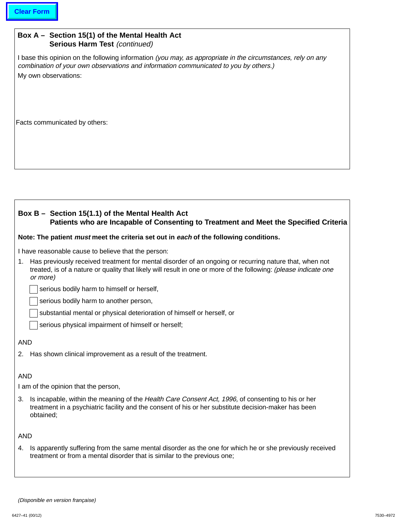# **Box A – Section 15(1) of the Mental Health Act Serious Harm Test (continued)**

I base this opinion on the following information (you may, as appropriate in the circumstances, rely on any combination of your own observations and information communicated to you by others.) My own observations:

Facts communicated by others:

# **Box B – Section 15(1.1) of the Mental Health Act Patients who are Incapable of Consenting to Treatment and Meet the Specified Criteria**

#### **Note: The patient must meet the criteria set out in each of the following conditions.**

I have reasonable cause to believe that the person:

1. Has previously received treatment for mental disorder of an ongoing or recurring nature that, when not treated, is of a nature or quality that likely will result in one or more of the following: (please indicate one or more)

serious bodily harm to himself or herself,

serious bodily harm to another person,

substantial mental or physical deterioration of himself or herself, or

serious physical impairment of himself or herself;

## AND

2. Has shown clinical improvement as a result of the treatment.

# AND

I am of the opinion that the person,

3. Is incapable, within the meaning of the Health Care Consent Act, 1996, of consenting to his or her treatment in a psychiatric facility and the consent of his or her substitute decision-maker has been obtained;

### AND

4. Is apparently suffering from the same mental disorder as the one for which he or she previously received treatment or from a mental disorder that is similar to the previous one;

<sup>(</sup>Disponible en version française)